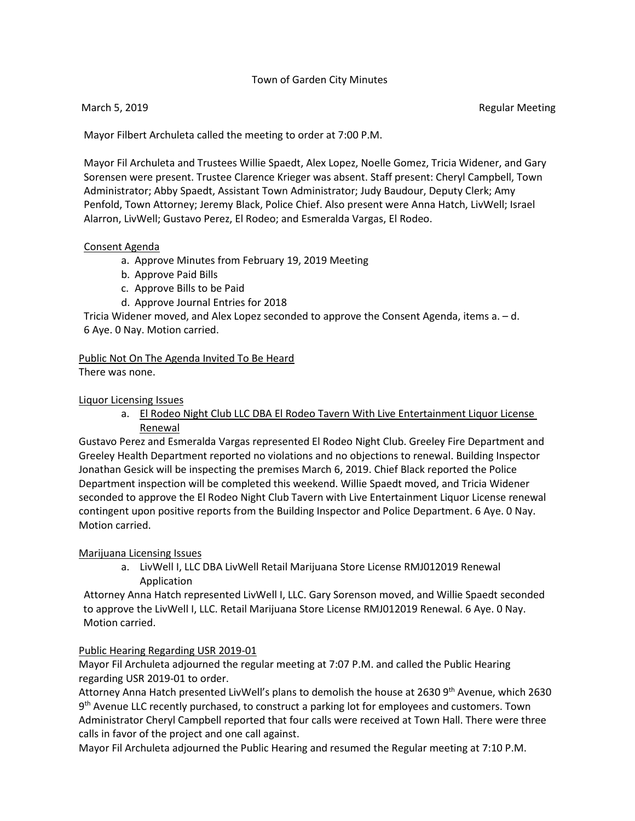# Town of Garden City Minutes

Mayor Filbert Archuleta called the meeting to order at 7:00 P.M.

Mayor Fil Archuleta and Trustees Willie Spaedt, Alex Lopez, Noelle Gomez, Tricia Widener, and Gary Sorensen were present. Trustee Clarence Krieger was absent. Staff present: Cheryl Campbell, Town Administrator; Abby Spaedt, Assistant Town Administrator; Judy Baudour, Deputy Clerk; Amy Penfold, Town Attorney; Jeremy Black, Police Chief. Also present were Anna Hatch, LivWell; Israel Alarron, LivWell; Gustavo Perez, El Rodeo; and Esmeralda Vargas, El Rodeo.

#### Consent Agenda

- a. Approve Minutes from February 19, 2019 Meeting
- b. Approve Paid Bills
- c. Approve Bills to be Paid
- d. Approve Journal Entries for 2018

Tricia Widener moved, and Alex Lopez seconded to approve the Consent Agenda, items a. – d. 6 Aye. 0 Nay. Motion carried.

# Public Not On The Agenda Invited To Be Heard

There was none.

### Liquor Licensing Issues

a. El Rodeo Night Club LLC DBA El Rodeo Tavern With Live Entertainment Liquor License Renewal

Gustavo Perez and Esmeralda Vargas represented El Rodeo Night Club. Greeley Fire Department and Greeley Health Department reported no violations and no objections to renewal. Building Inspector Jonathan Gesick will be inspecting the premises March 6, 2019. Chief Black reported the Police Department inspection will be completed this weekend. Willie Spaedt moved, and Tricia Widener seconded to approve the El Rodeo Night Club Tavern with Live Entertainment Liquor License renewal contingent upon positive reports from the Building Inspector and Police Department. 6 Aye. 0 Nay. Motion carried.

### Marijuana Licensing Issues

a. LivWell I, LLC DBA LivWell Retail Marijuana Store License RMJ012019 Renewal Application

Attorney Anna Hatch represented LivWell I, LLC. Gary Sorenson moved, and Willie Spaedt seconded to approve the LivWell I, LLC. Retail Marijuana Store License RMJ012019 Renewal. 6 Aye. 0 Nay. Motion carried.

### Public Hearing Regarding USR 2019-01

Mayor Fil Archuleta adjourned the regular meeting at 7:07 P.M. and called the Public Hearing regarding USR 2019-01 to order.

Attorney Anna Hatch presented LivWell's plans to demolish the house at 2630 9<sup>th</sup> Avenue, which 2630 9<sup>th</sup> Avenue LLC recently purchased, to construct a parking lot for employees and customers. Town Administrator Cheryl Campbell reported that four calls were received at Town Hall. There were three calls in favor of the project and one call against.

Mayor Fil Archuleta adjourned the Public Hearing and resumed the Regular meeting at 7:10 P.M.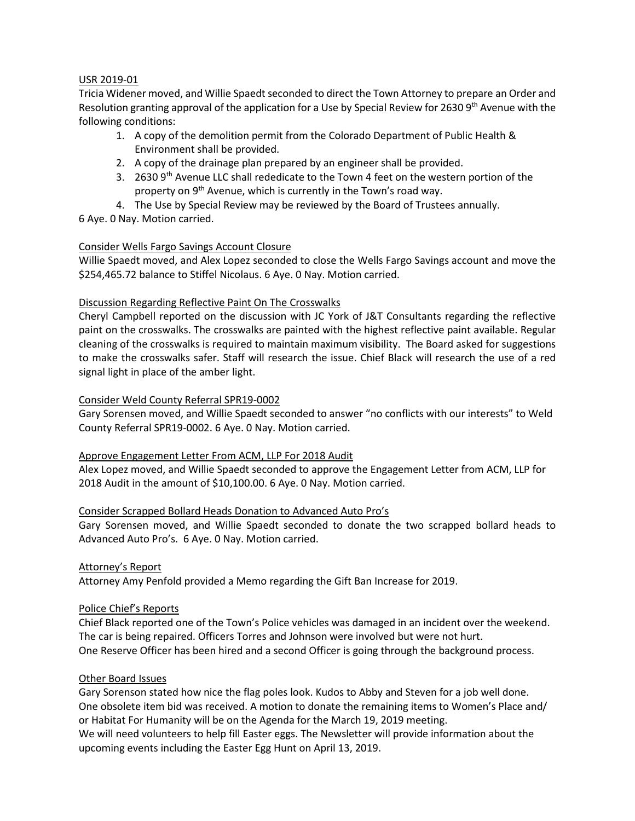# USR 2019-01

Tricia Widener moved, and Willie Spaedt seconded to direct the Town Attorney to prepare an Order and Resolution granting approval of the application for a Use by Special Review for 2630 9th Avenue with the following conditions:

- 1. A copy of the demolition permit from the Colorado Department of Public Health & Environment shall be provided.
- 2. A copy of the drainage plan prepared by an engineer shall be provided.
- 3. 2630  $9<sup>th</sup>$  Avenue LLC shall rededicate to the Town 4 feet on the western portion of the property on 9<sup>th</sup> Avenue, which is currently in the Town's road way.
- 4. The Use by Special Review may be reviewed by the Board of Trustees annually.
- 6 Aye. 0 Nay. Motion carried.

### Consider Wells Fargo Savings Account Closure

Willie Spaedt moved, and Alex Lopez seconded to close the Wells Fargo Savings account and move the \$254,465.72 balance to Stiffel Nicolaus. 6 Aye. 0 Nay. Motion carried.

### Discussion Regarding Reflective Paint On The Crosswalks

Cheryl Campbell reported on the discussion with JC York of J&T Consultants regarding the reflective paint on the crosswalks. The crosswalks are painted with the highest reflective paint available. Regular cleaning of the crosswalks is required to maintain maximum visibility. The Board asked for suggestions to make the crosswalks safer. Staff will research the issue. Chief Black will research the use of a red signal light in place of the amber light.

### Consider Weld County Referral SPR19-0002

Gary Sorensen moved, and Willie Spaedt seconded to answer "no conflicts with our interests" to Weld County Referral SPR19-0002. 6 Aye. 0 Nay. Motion carried.

### Approve Engagement Letter From ACM, LLP For 2018 Audit

Alex Lopez moved, and Willie Spaedt seconded to approve the Engagement Letter from ACM, LLP for 2018 Audit in the amount of \$10,100.00. 6 Aye. 0 Nay. Motion carried.

### Consider Scrapped Bollard Heads Donation to Advanced Auto Pro's

Gary Sorensen moved, and Willie Spaedt seconded to donate the two scrapped bollard heads to Advanced Auto Pro's. 6 Aye. 0 Nay. Motion carried.

### Attorney's Report

Attorney Amy Penfold provided a Memo regarding the Gift Ban Increase for 2019.

### Police Chief's Reports

Chief Black reported one of the Town's Police vehicles was damaged in an incident over the weekend. The car is being repaired. Officers Torres and Johnson were involved but were not hurt. One Reserve Officer has been hired and a second Officer is going through the background process.

### Other Board Issues

Gary Sorenson stated how nice the flag poles look. Kudos to Abby and Steven for a job well done. One obsolete item bid was received. A motion to donate the remaining items to Women's Place and/ or Habitat For Humanity will be on the Agenda for the March 19, 2019 meeting. We will need volunteers to help fill Easter eggs. The Newsletter will provide information about the

upcoming events including the Easter Egg Hunt on April 13, 2019.